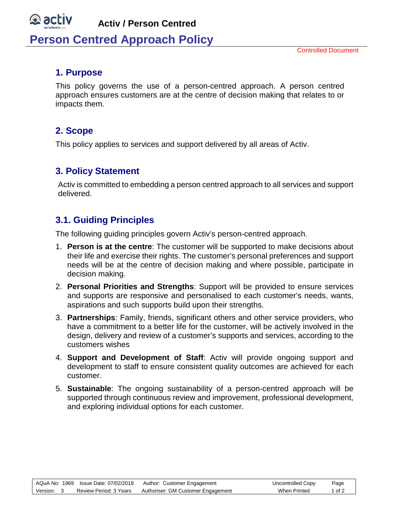#### $\mathfrak{B}$  ac **Activ / Person Centred Person Centred Approach Policy**

### **1. Purpose**

This policy governs the use of a person-centred approach. A person centred approach ensures customers are at the centre of decision making that relates to or impacts them.

### **2. Scope**

This policy applies to services and support delivered by all areas of Activ.

## **3. Policy Statement**

Activ is committed to embedding a person centred approach to all services and support delivered.

## **3.1. Guiding Principles**

The following guiding principles govern Activ's person-centred approach.

- 1. **Person is at the centre**: The customer will be supported to make decisions about their life and exercise their rights. The customer's personal preferences and support needs will be at the centre of decision making and where possible, participate in decision making.
- 2. **Personal Priorities and Strengths**: Support will be provided to ensure services and supports are responsive and personalised to each customer's needs, wants, aspirations and such supports build upon their strengths.
- 3. **Partnerships**: Family, friends, significant others and other service providers, who have a commitment to a better life for the customer, will be actively involved in the design, delivery and review of a customer's supports and services, according to the customers wishes
- 4. **Support and Development of Staff**: Activ will provide ongoing support and development to staff to ensure consistent quality outcomes are achieved for each customer.
- 5. **Sustainable**: The ongoing sustainability of a person-centred approach will be supported through continuous review and improvement, professional development, and exploring individual options for each customer.